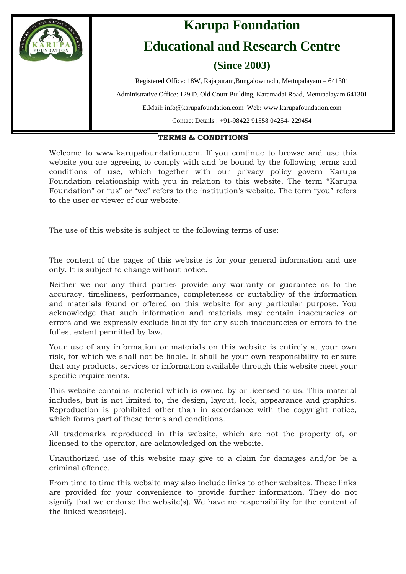

### **TERMS & CONDITIONS**

Welcome to www.karupafoundation.com. If you continue to browse and use this website you are agreeing to comply with and be bound by the following terms and conditions of use, which together with our privacy policy govern Karupa Foundation relationship with you in relation to this website. The term "Karupa Foundation" or "us" or "we" refers to the institution's website. The term "you" refers to the user or viewer of our website.

The use of this website is subject to the following terms of use:

The content of the pages of this website is for your general information and use only. It is subject to change without notice.

Neither we nor any third parties provide any warranty or guarantee as to the accuracy, timeliness, performance, completeness or suitability of the information and materials found or offered on this website for any particular purpose. You acknowledge that such information and materials may contain inaccuracies or errors and we expressly exclude liability for any such inaccuracies or errors to the fullest extent permitted by law.

Your use of any information or materials on this website is entirely at your own risk, for which we shall not be liable. It shall be your own responsibility to ensure that any products, services or information available through this website meet your specific requirements.

This website contains material which is owned by or licensed to us. This material includes, but is not limited to, the design, layout, look, appearance and graphics. Reproduction is prohibited other than in accordance with the copyright notice, which forms part of these terms and conditions.

All trademarks reproduced in this website, which are not the property of, or licensed to the operator, are acknowledged on the website.

Unauthorized use of this website may give to a claim for damages and/or be a criminal offence.

From time to time this website may also include links to other websites. These links are provided for your convenience to provide further information. They do not signify that we endorse the website(s). We have no responsibility for the content of the linked website(s).